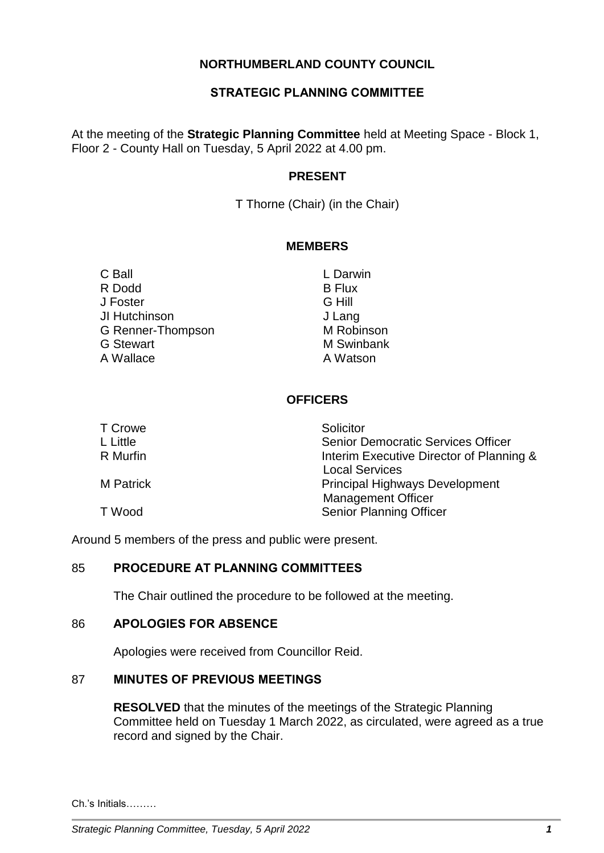# **NORTHUMBERLAND COUNTY COUNCIL**

# **STRATEGIC PLANNING COMMITTEE**

At the meeting of the **Strategic Planning Committee** held at Meeting Space - Block 1, Floor 2 - County Hall on Tuesday, 5 April 2022 at 4.00 pm.

### **PRESENT**

T Thorne (Chair) (in the Chair)

#### **MEMBERS**

C Ball L Darwin R Dodd B Flux J Foster G Hill JI Hutchinson J Lang G Renner-Thompson M Robinson G Stewart M Swinbank A Wallace **A Watson** 

# **OFFICERS**

| T Crowe   | Solicitor                                 |
|-----------|-------------------------------------------|
| L Little  | <b>Senior Democratic Services Officer</b> |
| R Murfin  | Interim Executive Director of Planning &  |
|           | <b>Local Services</b>                     |
| M Patrick | <b>Principal Highways Development</b>     |
|           | <b>Management Officer</b>                 |
| T Wood    | <b>Senior Planning Officer</b>            |

Around 5 members of the press and public were present.

#### 85 **PROCEDURE AT PLANNING COMMITTEES**

The Chair outlined the procedure to be followed at the meeting.

#### 86 **APOLOGIES FOR ABSENCE**

Apologies were received from Councillor Reid.

## 87 **MINUTES OF PREVIOUS MEETINGS**

**RESOLVED** that the minutes of the meetings of the Strategic Planning Committee held on Tuesday 1 March 2022, as circulated, were agreed as a true record and signed by the Chair.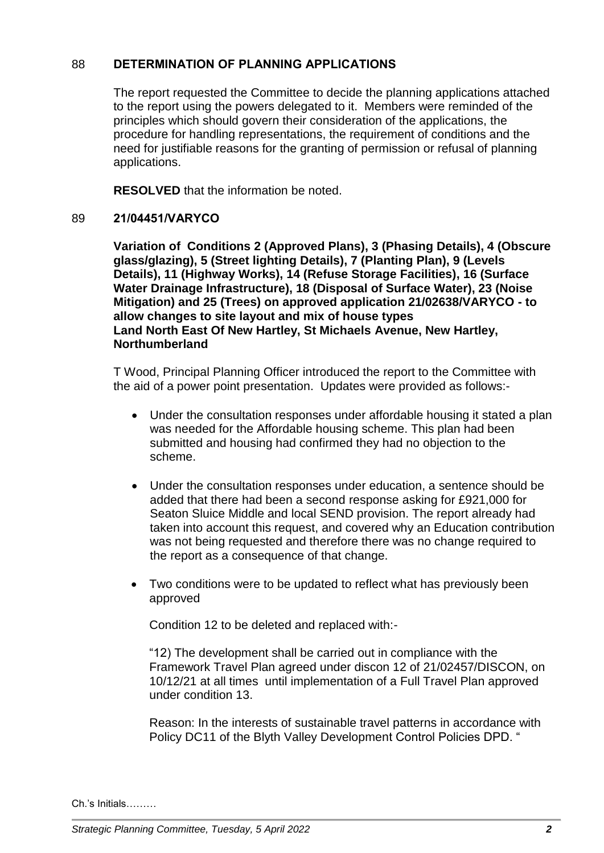# 88 **DETERMINATION OF PLANNING APPLICATIONS**

The report requested the Committee to decide the planning applications attached to the report using the powers delegated to it. Members were reminded of the principles which should govern their consideration of the applications, the procedure for handling representations, the requirement of conditions and the need for justifiable reasons for the granting of permission or refusal of planning applications.

**RESOLVED** that the information be noted.

## 89 **21/04451/VARYCO**

**Variation of Conditions 2 (Approved Plans), 3 (Phasing Details), 4 (Obscure glass/glazing), 5 (Street lighting Details), 7 (Planting Plan), 9 (Levels Details), 11 (Highway Works), 14 (Refuse Storage Facilities), 16 (Surface Water Drainage Infrastructure), 18 (Disposal of Surface Water), 23 (Noise Mitigation) and 25 (Trees) on approved application 21/02638/VARYCO - to allow changes to site layout and mix of house types Land North East Of New Hartley, St Michaels Avenue, New Hartley, Northumberland**

T Wood, Principal Planning Officer introduced the report to the Committee with the aid of a power point presentation. Updates were provided as follows:-

- Under the consultation responses under affordable housing it stated a plan was needed for the Affordable housing scheme. This plan had been submitted and housing had confirmed they had no objection to the scheme.
- Under the consultation responses under education, a sentence should be added that there had been a second response asking for £921,000 for Seaton Sluice Middle and local SEND provision. The report already had taken into account this request, and covered why an Education contribution was not being requested and therefore there was no change required to the report as a consequence of that change.
- Two conditions were to be updated to reflect what has previously been approved

Condition 12 to be deleted and replaced with:-

"12) The development shall be carried out in compliance with the Framework Travel Plan agreed under discon 12 of 21/02457/DISCON, on 10/12/21 at all times until implementation of a Full Travel Plan approved under condition 13.

Reason: In the interests of sustainable travel patterns in accordance with Policy DC11 of the Blyth Valley Development Control Policies DPD. "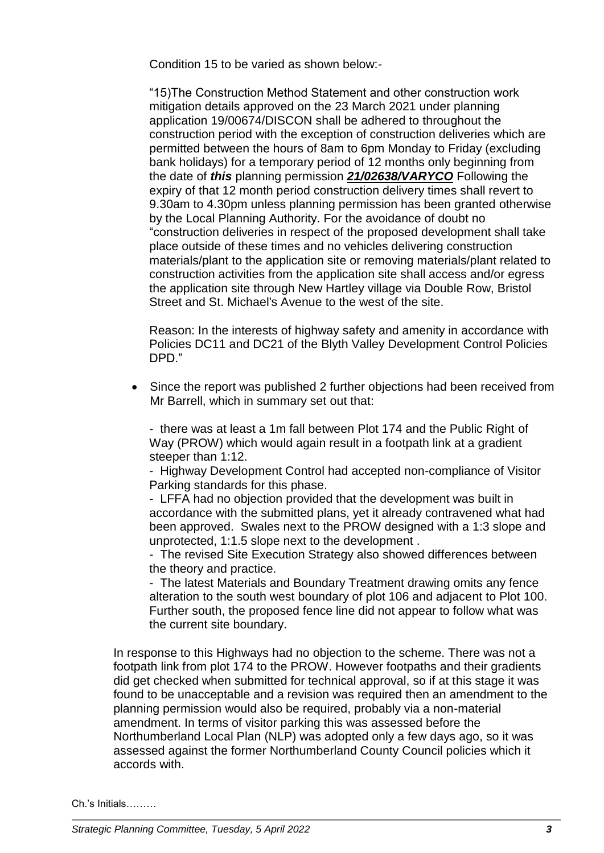Condition 15 to be varied as shown below:-

"15)The Construction Method Statement and other construction work mitigation details approved on the 23 March 2021 under planning application 19/00674/DISCON shall be adhered to throughout the construction period with the exception of construction deliveries which are permitted between the hours of 8am to 6pm Monday to Friday (excluding bank holidays) for a temporary period of 12 months only beginning from the date of *this* planning permission *21/02638/VARYCO* Following the expiry of that 12 month period construction delivery times shall revert to 9.30am to 4.30pm unless planning permission has been granted otherwise by the Local Planning Authority. For the avoidance of doubt no "construction deliveries in respect of the proposed development shall take place outside of these times and no vehicles delivering construction materials/plant to the application site or removing materials/plant related to construction activities from the application site shall access and/or egress the application site through New Hartley village via Double Row, Bristol Street and St. Michael's Avenue to the west of the site.

Reason: In the interests of highway safety and amenity in accordance with Policies DC11 and DC21 of the Blyth Valley Development Control Policies DPD."

• Since the report was published 2 further objections had been received from Mr Barrell, which in summary set out that:

- there was at least a 1m fall between Plot 174 and the Public Right of Way (PROW) which would again result in a footpath link at a gradient steeper than 1:12.

- Highway Development Control had accepted non-compliance of Visitor Parking standards for this phase.

- LFFA had no objection provided that the development was built in accordance with the submitted plans, yet it already contravened what had been approved. Swales next to the PROW designed with a 1:3 slope and unprotected, 1:1.5 slope next to the development .

- The revised Site Execution Strategy also showed differences between the theory and practice.

- The latest Materials and Boundary Treatment drawing omits any fence alteration to the south west boundary of plot 106 and adjacent to Plot 100. Further south, the proposed fence line did not appear to follow what was the current site boundary.

In response to this Highways had no objection to the scheme. There was not a footpath link from plot 174 to the PROW. However footpaths and their gradients did get checked when submitted for technical approval, so if at this stage it was found to be unacceptable and a revision was required then an amendment to the planning permission would also be required, probably via a non-material amendment. In terms of visitor parking this was assessed before the Northumberland Local Plan (NLP) was adopted only a few days ago, so it was assessed against the former Northumberland County Council policies which it accords with.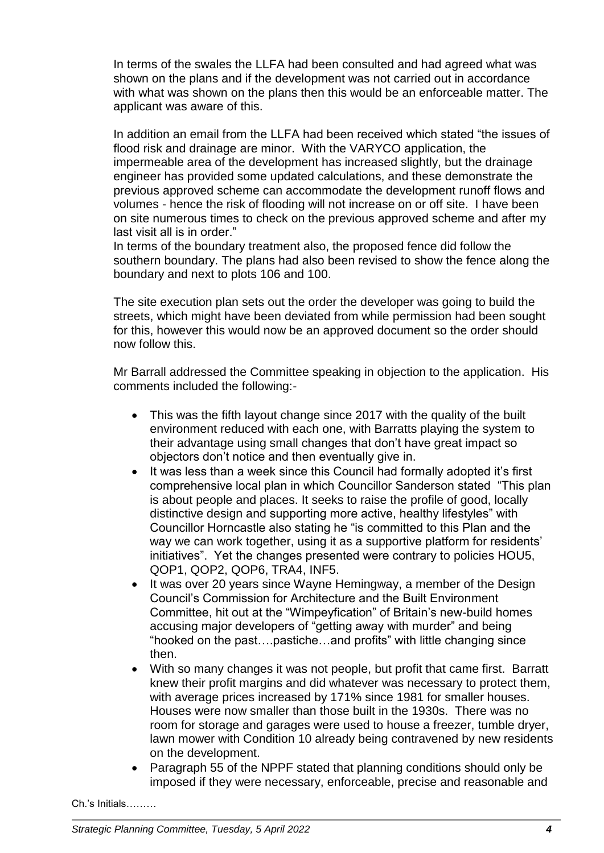In terms of the swales the LLFA had been consulted and had agreed what was shown on the plans and if the development was not carried out in accordance with what was shown on the plans then this would be an enforceable matter. The applicant was aware of this.

In addition an email from the LLFA had been received which stated "the issues of flood risk and drainage are minor. With the VARYCO application, the impermeable area of the development has increased slightly, but the drainage engineer has provided some updated calculations, and these demonstrate the previous approved scheme can accommodate the development runoff flows and volumes - hence the risk of flooding will not increase on or off site. I have been on site numerous times to check on the previous approved scheme and after my last visit all is in order."

In terms of the boundary treatment also, the proposed fence did follow the southern boundary. The plans had also been revised to show the fence along the boundary and next to plots 106 and 100.

The site execution plan sets out the order the developer was going to build the streets, which might have been deviated from while permission had been sought for this, however this would now be an approved document so the order should now follow this.

Mr Barrall addressed the Committee speaking in objection to the application. His comments included the following:-

- This was the fifth layout change since 2017 with the quality of the built environment reduced with each one, with Barratts playing the system to their advantage using small changes that don't have great impact so objectors don't notice and then eventually give in.
- It was less than a week since this Council had formally adopted it's first comprehensive local plan in which Councillor Sanderson stated "This plan is about people and places. It seeks to raise the profile of good, locally distinctive design and supporting more active, healthy lifestyles" with Councillor Horncastle also stating he "is committed to this Plan and the way we can work together, using it as a supportive platform for residents' initiatives". Yet the changes presented were contrary to policies HOU5, QOP1, QOP2, QOP6, TRA4, INF5.
- It was over 20 years since Wayne Hemingway, a member of the Design Council's Commission for Architecture and the Built Environment Committee, hit out at the "Wimpeyfication" of Britain's new-build homes accusing major developers of "getting away with murder" and being "hooked on the past….pastiche…and profits" with little changing since then.
- With so many changes it was not people, but profit that came first. Barratt knew their profit margins and did whatever was necessary to protect them, with average prices increased by 171% since 1981 for smaller houses. Houses were now smaller than those built in the 1930s. There was no room for storage and garages were used to house a freezer, tumble dryer, lawn mower with Condition 10 already being contravened by new residents on the development.
- Paragraph 55 of the NPPF stated that planning conditions should only be imposed if they were necessary, enforceable, precise and reasonable and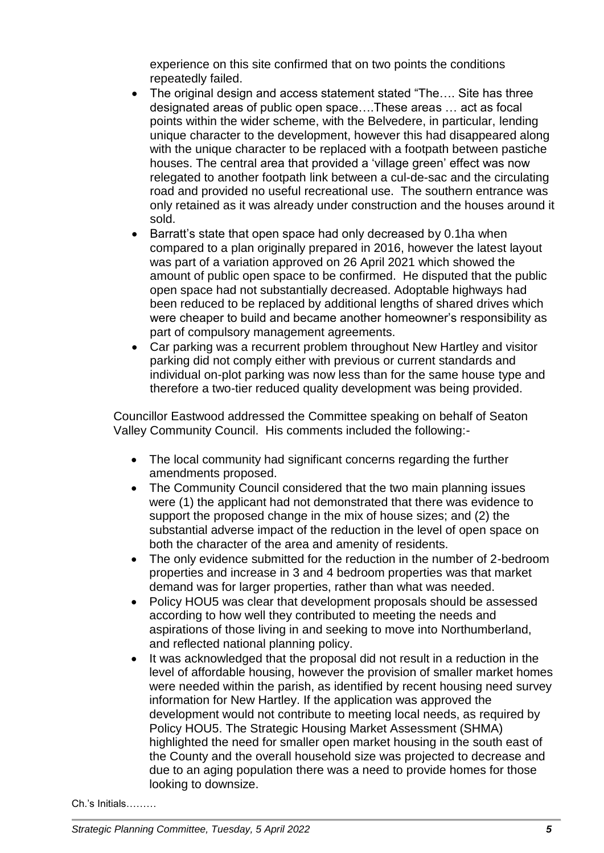experience on this site confirmed that on two points the conditions repeatedly failed.

- The original design and access statement stated "The.... Site has three designated areas of public open space….These areas … act as focal points within the wider scheme, with the Belvedere, in particular, lending unique character to the development, however this had disappeared along with the unique character to be replaced with a footpath between pastiche houses. The central area that provided a 'village green' effect was now relegated to another footpath link between a cul-de-sac and the circulating road and provided no useful recreational use. The southern entrance was only retained as it was already under construction and the houses around it sold.
- Barratt's state that open space had only decreased by 0.1ha when compared to a plan originally prepared in 2016, however the latest layout was part of a variation approved on 26 April 2021 which showed the amount of public open space to be confirmed. He disputed that the public open space had not substantially decreased. Adoptable highways had been reduced to be replaced by additional lengths of shared drives which were cheaper to build and became another homeowner's responsibility as part of compulsory management agreements.
- Car parking was a recurrent problem throughout New Hartley and visitor parking did not comply either with previous or current standards and individual on-plot parking was now less than for the same house type and therefore a two-tier reduced quality development was being provided.

Councillor Eastwood addressed the Committee speaking on behalf of Seaton Valley Community Council. His comments included the following:-

- The local community had significant concerns regarding the further amendments proposed.
- The Community Council considered that the two main planning issues were (1) the applicant had not demonstrated that there was evidence to support the proposed change in the mix of house sizes; and (2) the substantial adverse impact of the reduction in the level of open space on both the character of the area and amenity of residents.
- The only evidence submitted for the reduction in the number of 2-bedroom properties and increase in 3 and 4 bedroom properties was that market demand was for larger properties, rather than what was needed.
- Policy HOU5 was clear that development proposals should be assessed according to how well they contributed to meeting the needs and aspirations of those living in and seeking to move into Northumberland, and reflected national planning policy.
- It was acknowledged that the proposal did not result in a reduction in the level of affordable housing, however the provision of smaller market homes were needed within the parish, as identified by recent housing need survey information for New Hartley. If the application was approved the development would not contribute to meeting local needs, as required by Policy HOU5. The Strategic Housing Market Assessment (SHMA) highlighted the need for smaller open market housing in the south east of the County and the overall household size was projected to decrease and due to an aging population there was a need to provide homes for those looking to downsize.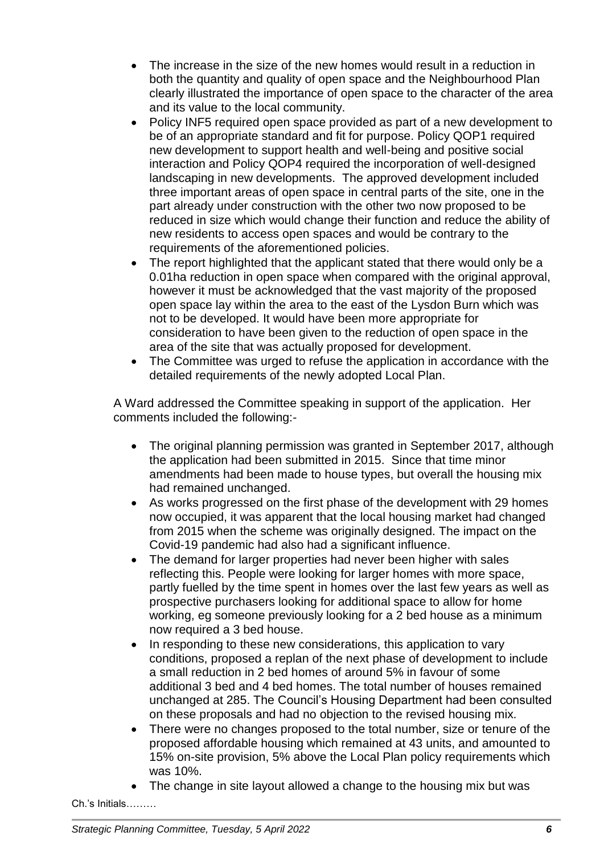- The increase in the size of the new homes would result in a reduction in both the quantity and quality of open space and the Neighbourhood Plan clearly illustrated the importance of open space to the character of the area and its value to the local community.
- Policy INF5 required open space provided as part of a new development to be of an appropriate standard and fit for purpose. Policy QOP1 required new development to support health and well-being and positive social interaction and Policy QOP4 required the incorporation of well-designed landscaping in new developments. The approved development included three important areas of open space in central parts of the site, one in the part already under construction with the other two now proposed to be reduced in size which would change their function and reduce the ability of new residents to access open spaces and would be contrary to the requirements of the aforementioned policies.
- The report highlighted that the applicant stated that there would only be a 0.01ha reduction in open space when compared with the original approval, however it must be acknowledged that the vast majority of the proposed open space lay within the area to the east of the Lysdon Burn which was not to be developed. It would have been more appropriate for consideration to have been given to the reduction of open space in the area of the site that was actually proposed for development.
- The Committee was urged to refuse the application in accordance with the detailed requirements of the newly adopted Local Plan.

A Ward addressed the Committee speaking in support of the application. Her comments included the following:-

- The original planning permission was granted in September 2017, although the application had been submitted in 2015. Since that time minor amendments had been made to house types, but overall the housing mix had remained unchanged.
- As works progressed on the first phase of the development with 29 homes now occupied, it was apparent that the local housing market had changed from 2015 when the scheme was originally designed. The impact on the Covid-19 pandemic had also had a significant influence.
- The demand for larger properties had never been higher with sales reflecting this. People were looking for larger homes with more space, partly fuelled by the time spent in homes over the last few years as well as prospective purchasers looking for additional space to allow for home working, eg someone previously looking for a 2 bed house as a minimum now required a 3 bed house.
- In responding to these new considerations, this application to vary conditions, proposed a replan of the next phase of development to include a small reduction in 2 bed homes of around 5% in favour of some additional 3 bed and 4 bed homes. The total number of houses remained unchanged at 285. The Council's Housing Department had been consulted on these proposals and had no objection to the revised housing mix.
- There were no changes proposed to the total number, size or tenure of the proposed affordable housing which remained at 43 units, and amounted to 15% on-site provision, 5% above the Local Plan policy requirements which was 10%.
- The change in site layout allowed a change to the housing mix but was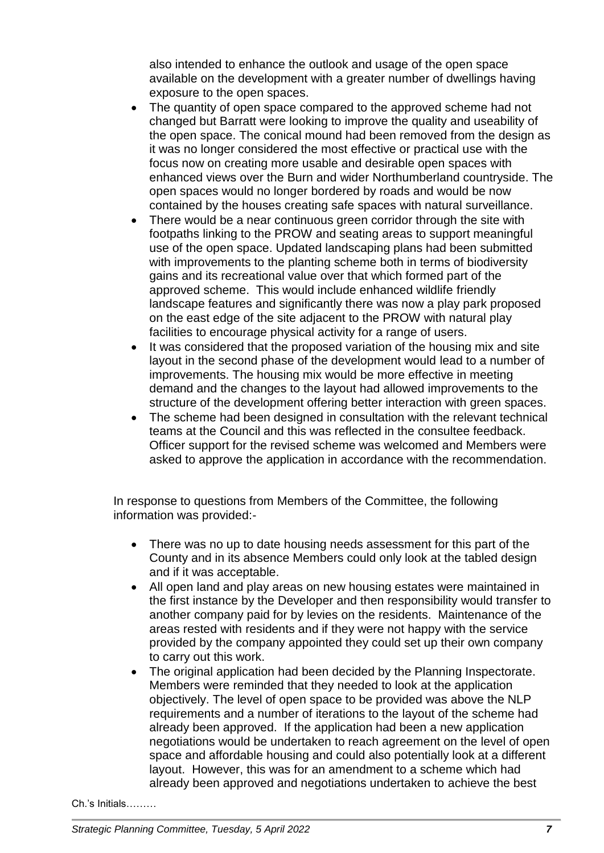also intended to enhance the outlook and usage of the open space available on the development with a greater number of dwellings having exposure to the open spaces.

- The quantity of open space compared to the approved scheme had not changed but Barratt were looking to improve the quality and useability of the open space. The conical mound had been removed from the design as it was no longer considered the most effective or practical use with the focus now on creating more usable and desirable open spaces with enhanced views over the Burn and wider Northumberland countryside. The open spaces would no longer bordered by roads and would be now contained by the houses creating safe spaces with natural surveillance.
- There would be a near continuous green corridor through the site with footpaths linking to the PROW and seating areas to support meaningful use of the open space. Updated landscaping plans had been submitted with improvements to the planting scheme both in terms of biodiversity gains and its recreational value over that which formed part of the approved scheme. This would include enhanced wildlife friendly landscape features and significantly there was now a play park proposed on the east edge of the site adjacent to the PROW with natural play facilities to encourage physical activity for a range of users.
- It was considered that the proposed variation of the housing mix and site layout in the second phase of the development would lead to a number of improvements. The housing mix would be more effective in meeting demand and the changes to the layout had allowed improvements to the structure of the development offering better interaction with green spaces.
- The scheme had been designed in consultation with the relevant technical teams at the Council and this was reflected in the consultee feedback. Officer support for the revised scheme was welcomed and Members were asked to approve the application in accordance with the recommendation.

In response to questions from Members of the Committee, the following information was provided:-

- There was no up to date housing needs assessment for this part of the County and in its absence Members could only look at the tabled design and if it was acceptable.
- All open land and play areas on new housing estates were maintained in the first instance by the Developer and then responsibility would transfer to another company paid for by levies on the residents. Maintenance of the areas rested with residents and if they were not happy with the service provided by the company appointed they could set up their own company to carry out this work.
- The original application had been decided by the Planning Inspectorate. Members were reminded that they needed to look at the application objectively. The level of open space to be provided was above the NLP requirements and a number of iterations to the layout of the scheme had already been approved. If the application had been a new application negotiations would be undertaken to reach agreement on the level of open space and affordable housing and could also potentially look at a different layout. However, this was for an amendment to a scheme which had already been approved and negotiations undertaken to achieve the best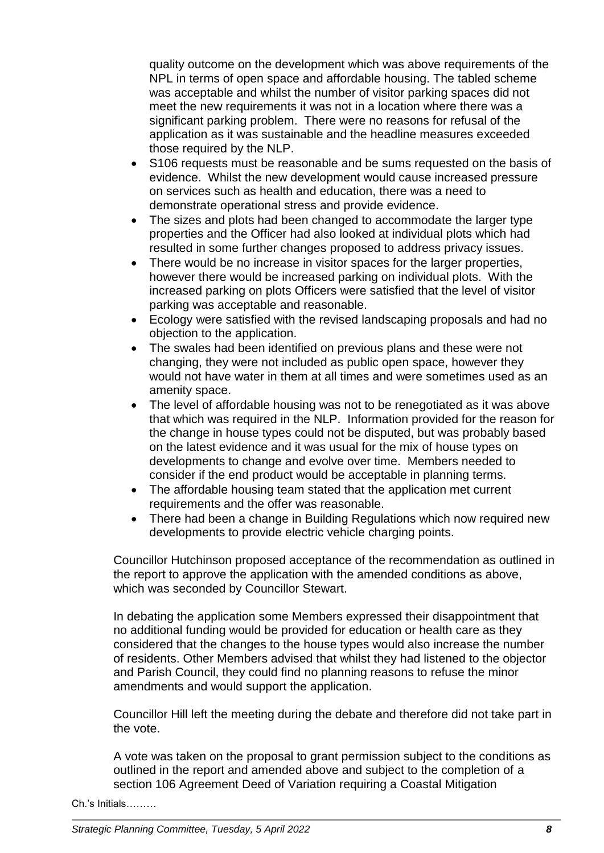quality outcome on the development which was above requirements of the NPL in terms of open space and affordable housing. The tabled scheme was acceptable and whilst the number of visitor parking spaces did not meet the new requirements it was not in a location where there was a significant parking problem. There were no reasons for refusal of the application as it was sustainable and the headline measures exceeded those required by the NLP.

- S106 requests must be reasonable and be sums requested on the basis of evidence. Whilst the new development would cause increased pressure on services such as health and education, there was a need to demonstrate operational stress and provide evidence.
- The sizes and plots had been changed to accommodate the larger type properties and the Officer had also looked at individual plots which had resulted in some further changes proposed to address privacy issues.
- There would be no increase in visitor spaces for the larger properties, however there would be increased parking on individual plots. With the increased parking on plots Officers were satisfied that the level of visitor parking was acceptable and reasonable.
- Ecology were satisfied with the revised landscaping proposals and had no objection to the application.
- The swales had been identified on previous plans and these were not changing, they were not included as public open space, however they would not have water in them at all times and were sometimes used as an amenity space.
- The level of affordable housing was not to be renegotiated as it was above that which was required in the NLP. Information provided for the reason for the change in house types could not be disputed, but was probably based on the latest evidence and it was usual for the mix of house types on developments to change and evolve over time. Members needed to consider if the end product would be acceptable in planning terms.
- The affordable housing team stated that the application met current requirements and the offer was reasonable.
- There had been a change in Building Regulations which now required new developments to provide electric vehicle charging points.

Councillor Hutchinson proposed acceptance of the recommendation as outlined in the report to approve the application with the amended conditions as above, which was seconded by Councillor Stewart.

In debating the application some Members expressed their disappointment that no additional funding would be provided for education or health care as they considered that the changes to the house types would also increase the number of residents. Other Members advised that whilst they had listened to the objector and Parish Council, they could find no planning reasons to refuse the minor amendments and would support the application.

Councillor Hill left the meeting during the debate and therefore did not take part in the vote.

A vote was taken on the proposal to grant permission subject to the conditions as outlined in the report and amended above and subject to the completion of a section 106 Agreement Deed of Variation requiring a Coastal Mitigation